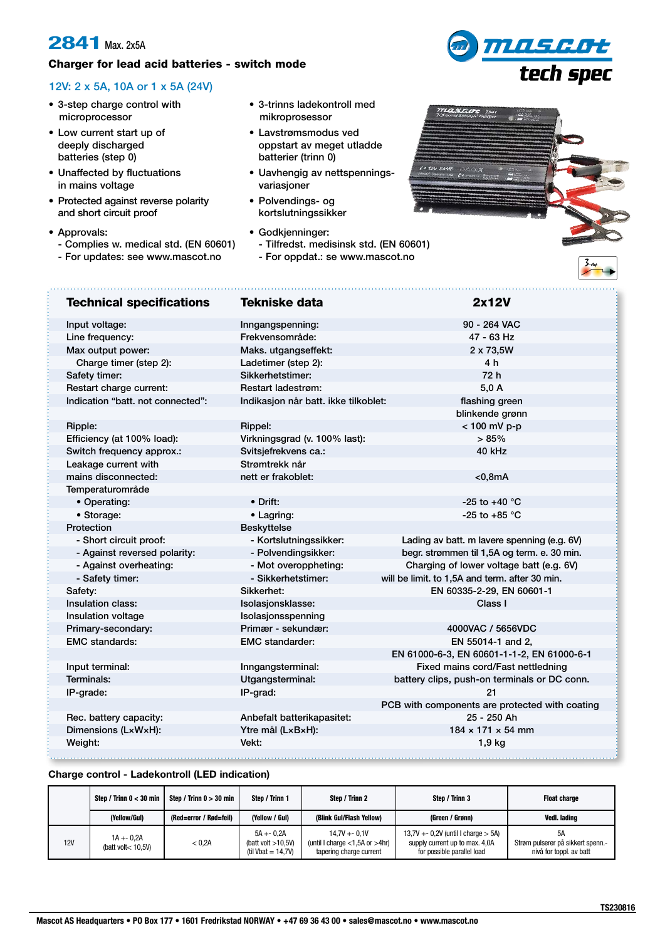## **2841** Max. 2x5A

## Charger for lead acid batteries - switch mode

## 12V: 2 x 5A, 10A or 1 x 5A (24V)

- 3-step charge control with microprocessor
- Low current start up of deeply discharged batteries (step 0)
- Unaffected by fluctuations in mains voltage
- Protected against reverse polarity and short circuit proof
- Approvals:

- Complies w. medical std. (EN 60601)
- For updates: see www.mascot.no
- 3-trinns ladekontroll med mikroprosessor
- Lavstrømsmodus ved oppstart av meget utladde batterier (trinn 0)
- Uavhengig av nettspenningsvariasjoner
- Polvendings- og kortslutningssikker
- Godkjenninger:
	- Tilfredst. medisinsk std. (EN 60601)
	- For oppdat.: se www.mascot.no



mascot<br>tech spec

| <b>Technical specifications</b>   | <b>Tekniske data</b>                 | 2x12V                                          |  |
|-----------------------------------|--------------------------------------|------------------------------------------------|--|
| Input voltage:                    | Inngangspenning:                     | 90 - 264 VAC                                   |  |
| Line frequency:                   | Frekvensområde:                      | 47 - 63 Hz                                     |  |
| Max output power:                 | Maks. utgangseffekt:                 | 2 x 73,5W                                      |  |
| Charge timer (step 2):            | Ladetimer (step 2):                  | 4 h                                            |  |
| Safety timer:                     | Sikkerhetstimer:                     | 72 h                                           |  |
| Restart charge current:           | <b>Restart ladestrøm:</b>            | 5.0A                                           |  |
| Indication "batt, not connected": | Indikasjon når batt. ikke tilkoblet: | flashing green                                 |  |
|                                   |                                      | blinkende grønn                                |  |
| <b>Ripple:</b>                    | Rippel:                              | < 100 mV p-p                                   |  |
| Efficiency (at 100% load):        | Virkningsgrad (v. 100% last):        | > 85%                                          |  |
| Switch frequency approx.:         | Svitsjefrekvens ca.:                 | 40 kHz                                         |  |
| Leakage current with              | Strømtrekk når                       |                                                |  |
| mains disconnected:               | nett er frakoblet:                   | $<$ 0,8mA                                      |  |
| Temperaturområde                  |                                      |                                                |  |
| • Operating:                      | • Drift:                             | -25 to +40 $^{\circ}$ C                        |  |
| • Storage:                        | • Lagring:                           | -25 to +85 $^{\circ}$ C                        |  |
| Protection                        | <b>Beskyttelse</b>                   |                                                |  |
| - Short circuit proof:            | - Kortslutningssikker:               | Lading av batt. m lavere spenning (e.g. 6V)    |  |
| - Against reversed polarity:      | - Polvendingsikker:                  | begr. strømmen til 1,5A og term. e. 30 min.    |  |
| - Against overheating:            | - Mot overoppheting:                 | Charging of lower voltage batt (e.g. 6V)       |  |
| - Safety timer:                   | - Sikkerhetstimer:                   | will be limit. to 1,5A and term. after 30 min. |  |
| Safety:                           | Sikkerhet:                           | EN 60335-2-29, EN 60601-1                      |  |
| Insulation class:                 | Isolasjonsklasse:                    | Class I                                        |  |
| Insulation voltage                | Isolasjonsspenning                   |                                                |  |
| Primary-secondary:                | Primær - sekundær:                   | 4000VAC / 5656VDC                              |  |
| <b>EMC</b> standards:             | <b>EMC</b> standarder:               | EN 55014-1 and 2,                              |  |
|                                   |                                      | EN 61000-6-3, EN 60601-1-1-2, EN 61000-6-1     |  |
| Input terminal:                   | Inngangsterminal:                    | Fixed mains cord/Fast nettledning              |  |
| Terminals:                        | Utgangsterminal:                     | battery clips, push-on terminals or DC conn.   |  |
| IP-grade:                         | IP-grad:                             | 21                                             |  |
|                                   |                                      | PCB with components are protected with coating |  |
| Rec. battery capacity:            | Anbefalt batterikapasitet:           | 25 - 250 Ah                                    |  |
| Dimensions (LxWxH):               | Ytre mål (LxBxH):                    | $184 \times 171 \times 54$ mm                  |  |
| Weight:                           | Vekt:                                | 1,9 kg                                         |  |
|                                   |                                      |                                                |  |

## **Charge control - Ladekontroll (LED indication)**

|            | Step / Trinn $0 < 30$ min            | Step / Trinn $0 > 30$ min | Step / Trinn 1                                                | Step / Trinn 2                                                                     | Step / Trinn 3                                                                                           | <b>Float charge</b>                                                |
|------------|--------------------------------------|---------------------------|---------------------------------------------------------------|------------------------------------------------------------------------------------|----------------------------------------------------------------------------------------------------------|--------------------------------------------------------------------|
|            | (Yellow/Gul)                         | (Red=error / Rød=feil)    | (Yellow / Gul)                                                | (Blink Gul/Flash Yellow)                                                           | (Green / Grønn)                                                                                          | Vedl. lading                                                       |
| <b>12V</b> | $1A + 0.2A$<br>(batt volt $<$ 10.5V) | < 0.2A                    | $5A + 0.2A$<br>(batt volt $>10,5V$ )<br>(til Vbat = $14,7$ V) | $14.7V + -0.1V$<br>(until I charge $<$ 1,5A or $>$ 4hr)<br>tapering charge current | $13.7V + -0.2V$ (until I charge $> 5A$ )<br>supply current up to max. 4,0A<br>for possible parallel load | 5A<br>Strøm pulserer på sikkert spenn.-<br>nivå for toppl. av batt |

F-94270 Le Kremlin Bicêtre ymascot.no • wv N-1601 Fredrikstad 1ascot AS Headq Wiltshire SP2 2BH  $\bullet$  PO Box 177  $\bullet$  16 D-74838 Limbach redrikstad NORV<del>.</del> D-88239 Wangen Mascot AS Headquarters • PO Box 177 • 1601 Fredrikstad NORWAY • +47 69 36 43 00 • sales@mascot.no • www.mascot.no 13619 Tallinn, Estonia  $\overline{3}$